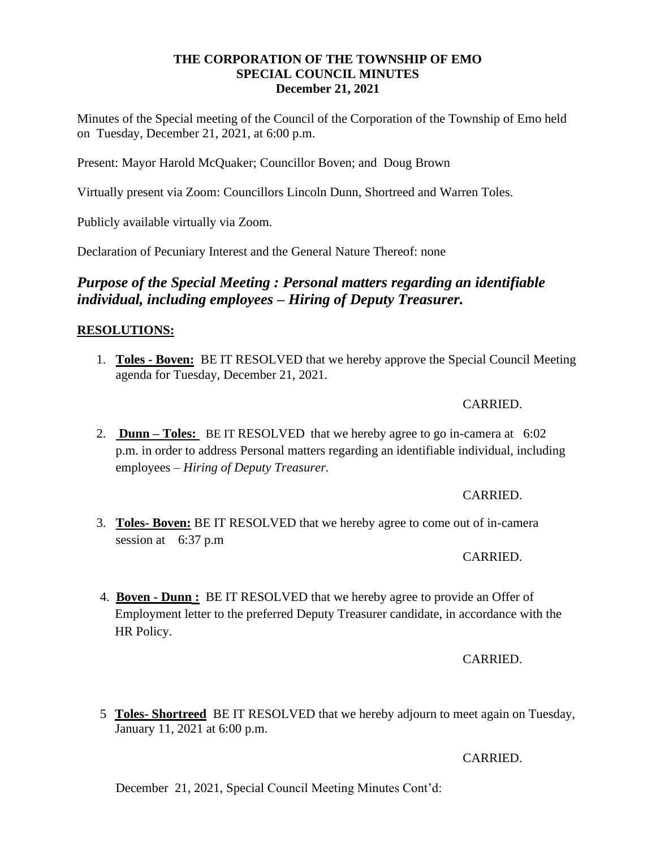## **THE CORPORATION OF THE TOWNSHIP OF EMO SPECIAL COUNCIL MINUTES December 21, 2021**

Minutes of the Special meeting of the Council of the Corporation of the Township of Emo held on Tuesday, December 21, 2021, at 6:00 p.m.

Present: Mayor Harold McQuaker; Councillor Boven; and Doug Brown

Virtually present via Zoom: Councillors Lincoln Dunn, Shortreed and Warren Toles.

Publicly available virtually via Zoom.

Declaration of Pecuniary Interest and the General Nature Thereof: none

# *Purpose of the Special Meeting : Personal matters regarding an identifiable individual, including employees – Hiring of Deputy Treasurer.*

## **RESOLUTIONS:**

1. **Toles - Boven:** BE IT RESOLVED that we hereby approve the Special Council Meeting agenda for Tuesday, December 21, 2021.

#### CARRIED.

2. **Dunn – Toles:** BE IT RESOLVED that we hereby agree to go in-camera at 6:02 p.m. in order to address Personal matters regarding an identifiable individual, including employees – *Hiring of Deputy Treasurer.*

#### CARRIED.

3. **Toles- Boven:** BE IT RESOLVED that we hereby agree to come out of in-camera session at 6:37 p.m

#### CARRIED.

4. **Boven - Dunn :** BE IT RESOLVED that we hereby agree to provide an Offer of Employment letter to the preferred Deputy Treasurer candidate, in accordance with the HR Policy.

#### CARRIED.

5 **Toles- Shortreed** BE IT RESOLVED that we hereby adjourn to meet again on Tuesday, January 11, 2021 at 6:00 p.m.

#### CARRIED.

December 21, 2021, Special Council Meeting Minutes Cont'd: